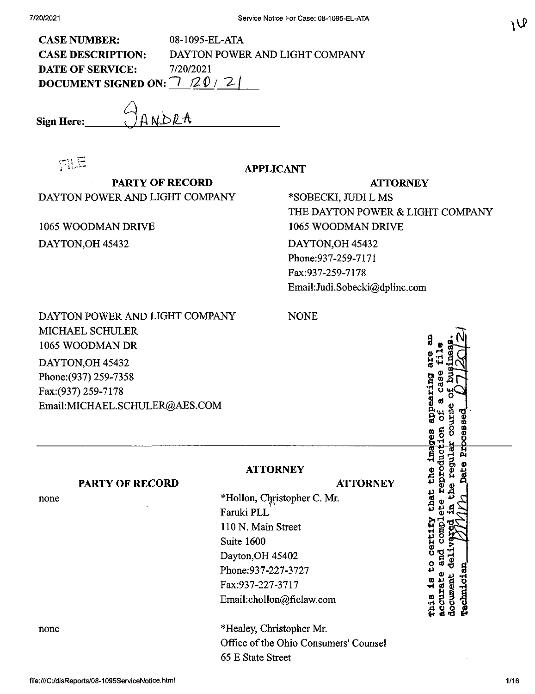| <b>CASE NUMBER:</b>                         | 08-1095-EL-ATA                 |
|---------------------------------------------|--------------------------------|
| <b>CASE DESCRIPTION:</b>                    | DAYTON POWER AND LIGHT COMPANY |
| DATE OF SERVICE:                            | 7/20/2021                      |
| DOCUMENT SIGNED ON: $\bigtriangledown$ 20/2 |                                |

**Sign Here:\_**

JANDRA

TILE

**APPLICANT**

**PARTY OF RECORD** DAYTON POWER AND LIGHT COMPANY

1065 WOODMAN DRIVE DAYTON,OH 45432

#### **ATTORNEY**

\*SOBECKI, JUDI L MS THE DAYTON POWER & LIGHT COMPANY 1065 WOODMAN DRIVE DAYTON,OH 45432 Phone:937-259-7171 Fax:937-259-7178 Email:Judi.Sobecki@dplinc.com

DAYTON POWER AND LIGHT COMPANY MICHAEL SCHULER 1065 WOODMAN DR DAYTON,OH 45432 Phone:(937) 259-7358 Fax:(937) 259-7178 Email:MICHAEL.SCHULER@AES.COM

**PARTY OF RECORD**

none

NONE

#### **ATTORNEY**

### **ATTORNEY**

\*Hollon, Christopher C. Mr. Faruki PLL 110 N. Main Street Suite 1600 Dayton,OH 45402 Phone:937-227-3727 Fax:937-227-3717 Email:chollon@ficlaw,com

none \*Healey, Christopher Mr. Office of the Ohio Consumers' Counsel 65 E State Street

ር<br>ኢ **S o S\* o n ®**  $\frac{6}{\alpha}$   $\frac{1}{\alpha}$   $\frac{1}{\alpha}$   $\frac{1}{\alpha}$ **\$oB <sup>g</sup>** A <del>- 남</del> that the ima § ដូ ប o •g o ¤<br>D *•H<sup>m</sup> ® U n 0*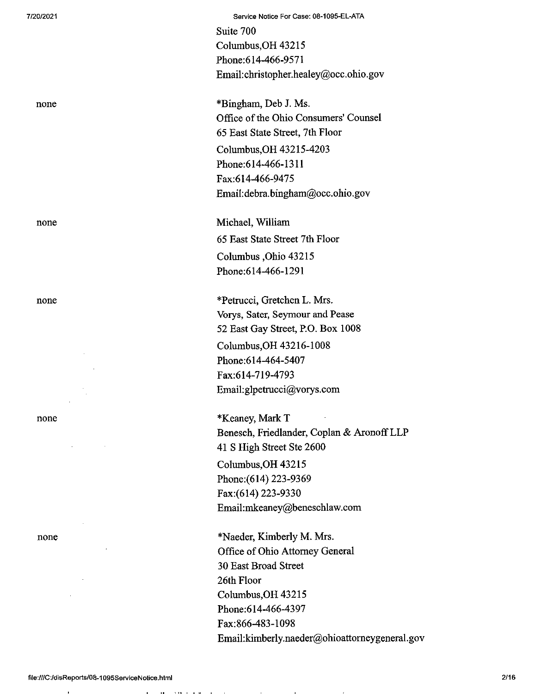7/20/2021 Servicse Notice For Case; 08-1095-EL-ATA Suite 700 Columbus,OH 43215 Phone:614-466-9571 Email:christopher.healey@occ.ohio.gov

none \*Bingham, Deb J. Ms. Office of the Ohio Consumers' Counsel 65 East State Street, 7th Floor Columbus,OH 43215-4203 Phone:614-466-1311 Fax:614-466-9475 Email:debra.bingham@occ.ohio.gov

none Michael, William 65 East State Street 7th Floor Columbus ,Ohio 43215 Phone:614-466-1291

none \*Petrucci, Gretchen L. Mrs. Vorys, Sater, Seymour and Pease 52 East Gay Street, P.O. Box 1008 Columbus,OH 43216-1008 Phone:614-464-5407 Fax:614-719-4793 Email:glpetrucci@vorys.com

none \*Keaney, Mark T Benesch, Friedlander, Coplan & AronoffLLP 41 S High Street Ste 2600 Columbus,OH 43215 Phone;(614) 223-9369 Fax:(614) 223-9330 Email:mkeaney@beneschlaw.com

none \*Naeder, Kimberly M. Mrs. Office of Ohio Attorney General 30 East Broad Street 26th Floor Columbus,OH 43215 Phone:614-466-4397 Fax:866-483-1098 Email:kimberly.naeder@ohioattomeygeneral.gov

 $10 - 110 + 11 + 11$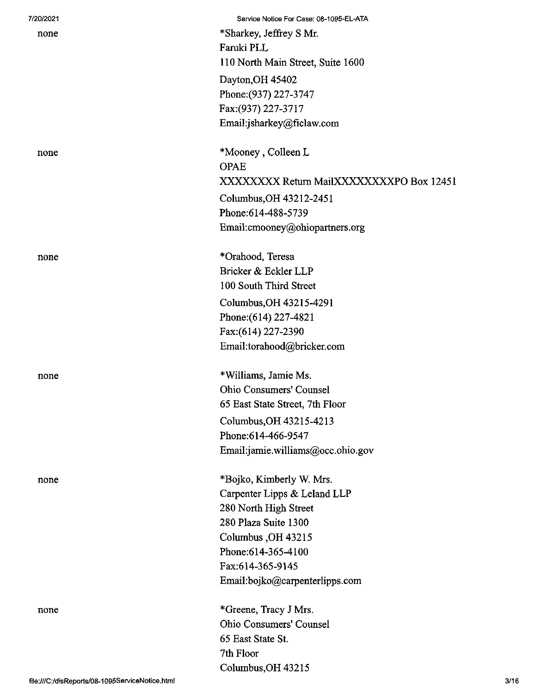| 7/20/2021 | Service Notice For Case: 08-1095-EL-ATA  |
|-----------|------------------------------------------|
| none      | *Sharkey, Jeffrey S Mr.                  |
|           | Faruki PLL                               |
|           | 110 North Main Street, Suite 1600        |
|           | Dayton, OH 45402                         |
|           | Phone: (937) 227-3747                    |
|           | Fax: (937) 227-3717                      |
|           | Email:jsharkey@ficlaw.com                |
|           |                                          |
| none      | *Mooney, Colleen L                       |
|           | <b>OPAE</b>                              |
|           | XXXXXXXX Return MailXXXXXXXXPO Box 12451 |
|           | Columbus, OH 43212-2451                  |
|           | Phone: 614-488-5739                      |
|           | Email: cmooney@ohiopartners.org          |
|           |                                          |
| none      | *Orahood, Teresa                         |
|           | Bricker & Eckler LLP                     |
|           | 100 South Third Street                   |
|           | Columbus, OH 43215-4291                  |
|           | Phone: (614) 227-4821                    |
|           | Fax:(614) 227-2390                       |
|           | Email:torahood@bricker.com               |
|           |                                          |
| none      | *Williams, Jamie Ms.                     |
|           | Ohio Consumers' Counsel                  |
|           | 65 East State Street, 7th Floor          |
|           | Columbus, OH 43215-4213                  |
|           | Phone:614-466-9547                       |
|           | Email:jamie.williams@occ.ohio.gov        |
|           |                                          |
| none      | *Bojko, Kimberly W. Mrs.                 |
|           | Carpenter Lipps & Leland LLP             |
|           | 280 North High Street                    |
|           | 280 Plaza Suite 1300                     |
|           | Columbus, OH 43215                       |
|           | Phone: 614-365-4100                      |
|           | Fax:614-365-9145                         |
|           | Email:bojko@carpenterlipps.com           |
| none      | *Greene, Tracy J Mrs.                    |
|           | Ohio Consumers' Counsel                  |
|           | 65 East State St.                        |
|           | 7th Floor                                |
|           | Columbus, OH 43215                       |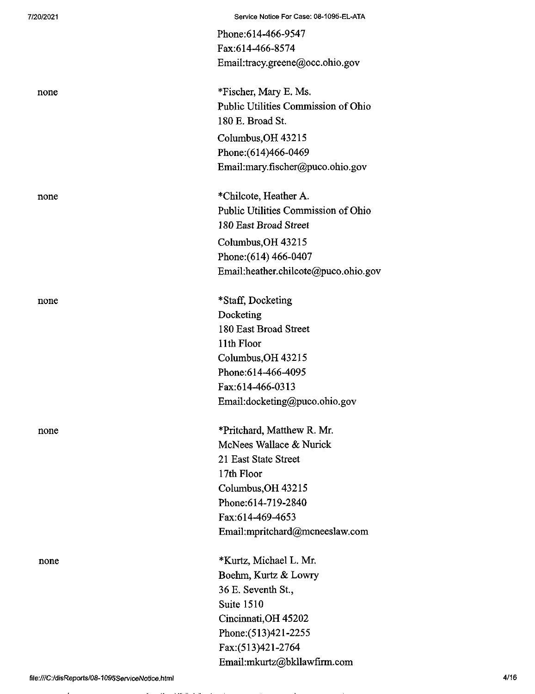| 7/20/2021 | Service Notice For Case: 08-1095-EL-ATA |
|-----------|-----------------------------------------|
|           | Phone: 614-466-9547                     |
|           | Fax:614-466-8574                        |
|           | Email:tracy.greene@occ.ohio.gov         |
| none      | *Fischer, Mary E. Ms.                   |
|           | Public Utilities Commission of Ohio     |
|           | 180 E. Broad St.                        |
|           | Columbus, OH 43215                      |
|           | Phone: (614)466-0469                    |
|           | Email:mary.fischer@puco.ohio.gov        |
| none      | *Chilcote, Heather A.                   |
|           | Public Utilities Commission of Ohio     |
|           | 180 East Broad Street                   |
|           | Columbus, OH 43215                      |
|           | Phone: (614) 466-0407                   |
|           | Email:heather.chilcote@puco.ohio.gov    |
| none      | *Staff, Docketing                       |
|           | Docketing                               |
|           | 180 East Broad Street                   |
|           | 11th Floor                              |
|           | Columbus, OH 43215                      |
|           | Phone: 614-466-4095                     |
|           | Fax:614-466-0313                        |
|           | Email:docketing@puco.ohio.gov           |
| none      | *Pritchard, Matthew R. Mr.              |
|           | McNees Wallace & Nurick                 |
|           | 21 East State Street                    |
|           | 17th Floor                              |
|           | Columbus, OH 43215                      |
|           | Phone:614-719-2840                      |
|           | Fax:614-469-4653                        |
|           | Email:mpritchard@mcneeslaw.com          |
| none      | *Kurtz, Michael L. Mr.                  |
|           | Boehm, Kurtz & Lowry                    |
|           | 36 E. Seventh St.,                      |
|           | Suite 1510                              |
|           | Cincinnati, OH 45202                    |
|           | Phone: (513)421-2255                    |
|           | Fax:(513)421-2764                       |
|           | Email:mkurtz@bkllawfirm.com             |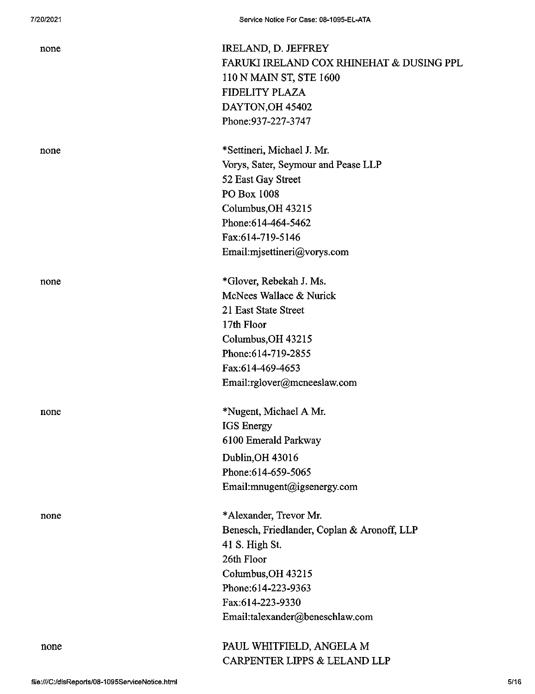| none | IRELAND, D. JEFFREY                         |
|------|---------------------------------------------|
|      | FARUKI IRELAND COX RHINEHAT & DUSING PPL    |
|      | 110 N MAIN ST, STE 1600                     |
|      | FIDELITY PLAZA                              |
|      | DAYTON, OH 45402                            |
|      | Phone: 937-227-3747                         |
| none | *Settineri, Michael J. Mr.                  |
|      | Vorys, Sater, Seymour and Pease LLP         |
|      | 52 East Gay Street                          |
|      | PO Box 1008                                 |
|      | Columbus, OH 43215                          |
|      | Phone:614-464-5462                          |
|      | Fax:614-719-5146                            |
|      | Email:mjsettineri@vorys.com                 |
| none | *Glover, Rebekah J. Ms.                     |
|      | McNees Wallace & Nurick                     |
|      | 21 East State Street                        |
|      | 17th Floor                                  |
|      | Columbus, OH 43215                          |
|      | Phone: 614-719-2855                         |
|      | Fax:614-469-4653                            |
|      | Email:rglover@mcneeslaw.com                 |
| none | *Nugent, Michael A Mr.                      |
|      | <b>IGS</b> Energy                           |
|      | 6100 Emerald Parkway                        |
|      | Dublin, OH 43016                            |
|      | Phone: 614-659-5065                         |
|      | Email:mnugent@igsenergy.com                 |
| none | *Alexander, Trevor Mr.                      |
|      | Benesch, Friedlander, Coplan & Aronoff, LLP |
|      | 41 S. High St.                              |
|      | 26th Floor                                  |
|      | Columbus, OH 43215                          |
|      | Phone:614-223-9363                          |
|      | Fax:614-223-9330                            |
|      | Email:talexander@beneschlaw.com             |
| none | PAUL WHITFIELD, ANGELA M                    |
|      | CARPENTER LIPPS & LELAND LLP                |
|      |                                             |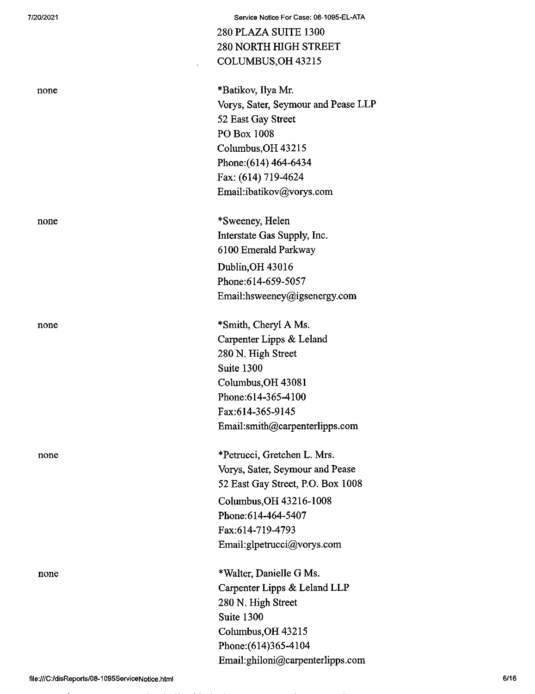| 7/20/2021 | Service Notice For Case: 08-1095-EL-ATA |
|-----------|-----------------------------------------|
|           | 280 PLAZA SUITE 1300                    |
|           | <b>280 NORTH HIGH STREET</b>            |
|           | COLUMBUS, OH 43215                      |
| none      | *Batikov, Ilya Mr.                      |
|           | Vorys, Sater, Seymour and Pease LLP     |
|           | 52 East Gay Street                      |
|           | PO Box 1008                             |
|           | Columbus, OH 43215                      |
|           | Phone: (614) 464-6434                   |
|           | Fax: (614) 719-4624                     |
|           | Email:ibatikov@vorys.com                |
| none      | *Sweeney, Helen                         |
|           | Interstate Gas Supply, Inc.             |
|           | 6100 Emerald Parkway                    |
|           | Dublin, OH 43016                        |
|           | Phone: 614-659-5057                     |
|           | Email:hsweeney@igsenergy.com            |
| none      | *Smith, Cheryl A Ms.                    |
|           | Carpenter Lipps & Leland                |
|           | 280 N. High Street                      |
|           | Suite 1300                              |
|           | Columbus, OH 43081                      |
|           | Phone: 614-365-4100                     |
|           | Fax:614-365-9145                        |
|           | Email:smith@carpenterlipps.com          |
| none      | *Petrucci, Gretchen L. Mrs.             |
|           | Vorys, Sater, Seymour and Pease         |
|           | 52 East Gay Street, P.O. Box 1008       |
|           | Columbus, OH 43216-1008                 |
|           | Phone: 614-464-5407                     |
|           | Fax:614-719-4793                        |
|           | Email:glpetrucci@vorys.com              |
| none      | *Walter, Danielle G Ms.                 |
|           | Carpenter Lipps & Leland LLP            |
|           | 280 N. High Street                      |
|           | Suite 1300                              |
|           | Columbus, OH 43215                      |
|           | Phone: (614)365-4104                    |
|           | Email:ghiloni@carpenterlipps.com        |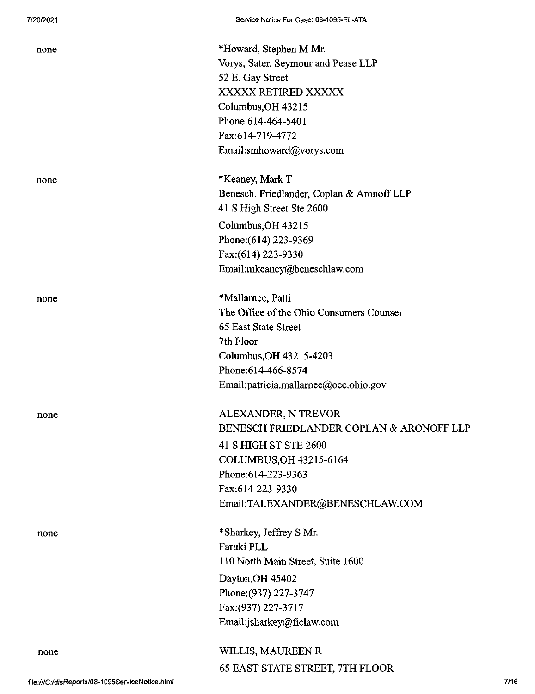| none | *Howard, Stephen M Mr.                     |
|------|--------------------------------------------|
|      | Vorys, Sater, Seymour and Pease LLP        |
|      | 52 E. Gay Street                           |
|      | XXXXX RETIRED XXXXX                        |
|      | Columbus, OH 43215                         |
|      | Phone: 614-464-5401                        |
|      | Fax:614-719-4772                           |
|      | Email:smhoward@vorys.com                   |
| none | *Keaney, Mark T                            |
|      | Benesch, Friedlander, Coplan & Aronoff LLP |
|      | 41 S High Street Ste 2600                  |
|      | Columbus, OH 43215                         |
|      | Phone: (614) 223-9369                      |
|      | Fax:(614) 223-9330                         |
|      | Email:mkeaney@beneschlaw.com               |
| none | *Mallarnee, Patti                          |
|      | The Office of the Ohio Consumers Counsel   |
|      | 65 East State Street                       |
|      | 7th Floor                                  |
|      | Columbus, OH 43215-4203                    |
|      | Phone: 614-466-8574                        |
|      | Email:patricia.mallarnee@occ.ohio.gov      |
| none | ALEXANDER, N TREVOR                        |
|      | BENESCH FRIEDLANDER COPLAN & ARONOFF LLP   |
|      | 41 S HIGH ST STE 2600                      |
|      | COLUMBUS, OH 43215-6164                    |
|      | Phone: 614-223-9363                        |
|      | Fax:614-223-9330                           |
|      | Email:TALEXANDER@BENESCHLAW.COM            |
| none | *Sharkey, Jeffrey S Mr.                    |
|      | Faruki PLL                                 |
|      | 110 North Main Street, Suite 1600          |
|      | Dayton, OH 45402                           |
|      | Phone: (937) 227-3747                      |
|      | Fax: (937) 227-3717                        |
|      | Email:jsharkey@ficlaw.com                  |
| none | WILLIS, MAUREEN R                          |
|      | 65 EAST STATE STREET, 7TH FLOOR            |
|      |                                            |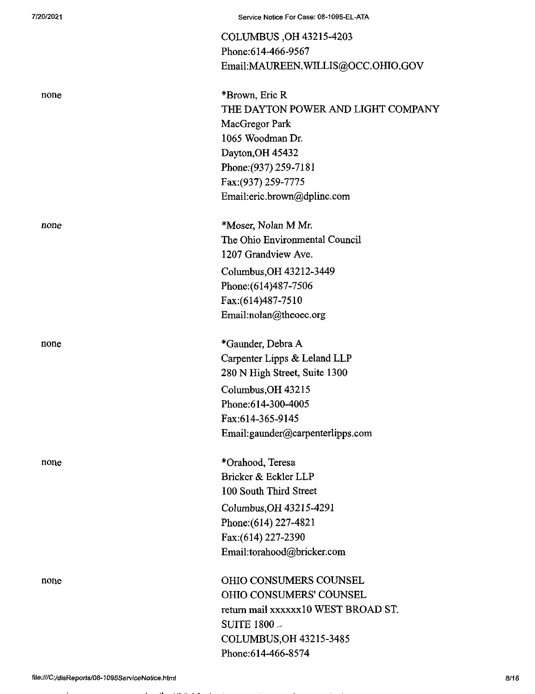| 7/20/2021 | Service Notice For Case: 08-1095-EL-ATA |
|-----------|-----------------------------------------|
|           | COLUMBUS, OH 43215-4203                 |
|           | Phone:614-466-9567                      |
|           | Email:MAUREEN.WILLIS@OCC.OHIO.GOV       |
| none      | *Brown, Eric R                          |
|           | THE DAYTON POWER AND LIGHT COMPANY      |
|           | MacGregor Park                          |
|           | 1065 Woodman Dr.                        |
|           | Dayton, OH 45432                        |
|           | Phone: (937) 259-7181                   |
|           | Fax: (937) 259-7775                     |
|           | Email:eric.brown@dplinc.com             |
| none      | *Moser, Nolan M Mr.                     |
|           | The Ohio Environmental Council          |
|           | 1207 Grandview Ave.                     |
|           | Columbus, OH 43212-3449                 |
|           | Phone: (614) 487-7506                   |
|           | Fax:(614)487-7510                       |
|           | Email:nolan@theoec.org                  |
| none      | *Gaunder, Debra A                       |
|           | Carpenter Lipps & Leland LLP            |
|           | 280 N High Street, Suite 1300           |
|           | Columbus, OH 43215                      |
|           | Phone: 614-300-4005                     |
|           | Fax:614-365-9145                        |
|           | Email:gaunder@carpenterlipps.com        |
| none      | *Orahood, Teresa                        |
|           | Bricker & Eckler LLP                    |
|           | 100 South Third Street                  |
|           | Columbus, OH 43215-4291                 |
|           | Phone: (614) 227-4821                   |
|           | Fax:(614) 227-2390                      |
|           | Email:torahood@bricker.com              |
| none      | <b>OHIO CONSUMERS COUNSEL</b>           |
|           | OHIO CONSUMERS' COUNSEL                 |
|           | return mail xxxxxx10 WEST BROAD ST.     |
|           | SUITE 1800 -                            |
|           | COLUMBUS, OH 43215-3485                 |
|           | Phone: 614-466-8574                     |

 $\mathbf{r} = \mathbf{r}$  and  $\mathbf{r} = \mathbf{r}$  and  $\mathbf{r} = \mathbf{r}$  and  $\mathbf{r} = \mathbf{r}$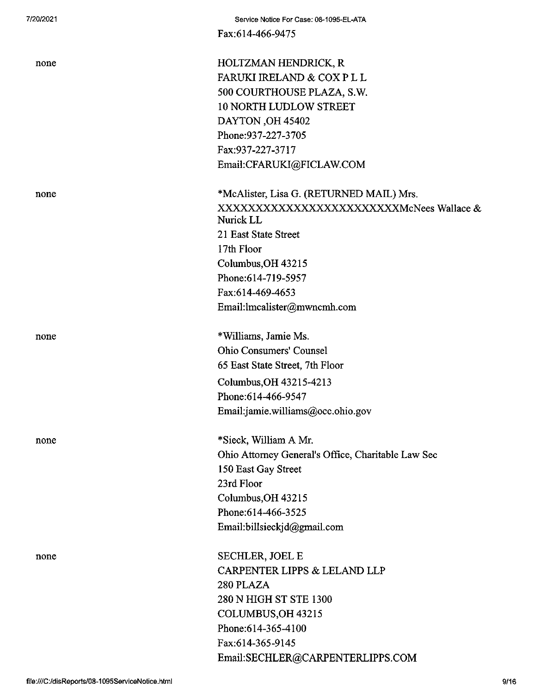Fax:614-466-9475

| none | HOLTZMAN HENDRICK, R<br>FARUKI IRELAND & COX P L L<br>500 COURTHOUSE PLAZA, S.W.<br><b>10 NORTH LUDLOW STREET</b><br>DAYTON, OH 45402<br>Phone: 937-227-3705<br>Fax:937-227-3717<br>Email:CFARUKI@FICLAW.COM  |
|------|---------------------------------------------------------------------------------------------------------------------------------------------------------------------------------------------------------------|
| none | *McAlister, Lisa G. (RETURNED MAIL) Mrs.<br>Nurick LL<br>21 East State Street<br>17th Floor<br>Columbus, OH 43215<br>Phone: 614-719-5957<br>Fax:614-469-4653<br>Email:lmcalister@mwncmh.com                   |
| none | *Williams, Jamie Ms.<br><b>Ohio Consumers' Counsel</b><br>65 East State Street, 7th Floor<br>Columbus, OH 43215-4213<br>Phone: 614-466-9547<br>Email:jamie.williams@occ.ohio.gov                              |
| none | *Sieck, William A Mr.<br>Ohio Attorney General's Office, Charitable Law Sec<br>150 East Gay Street<br>23rd Floor<br>Columbus, OH 43215<br>Phone: 614-466-3525<br>Email:billsieckjd@gmail.com                  |
| none | <b>SECHLER, JOEL E</b><br><b>CARPENTER LIPPS &amp; LELAND LLP</b><br>280 PLAZA<br>280 N HIGH ST STE 1300<br>COLUMBUS, OH 43215<br>Phone: 614-365-4100<br>Fax:614-365-9145<br>Email:SECHLER@CARPENTERLIPPS.COM |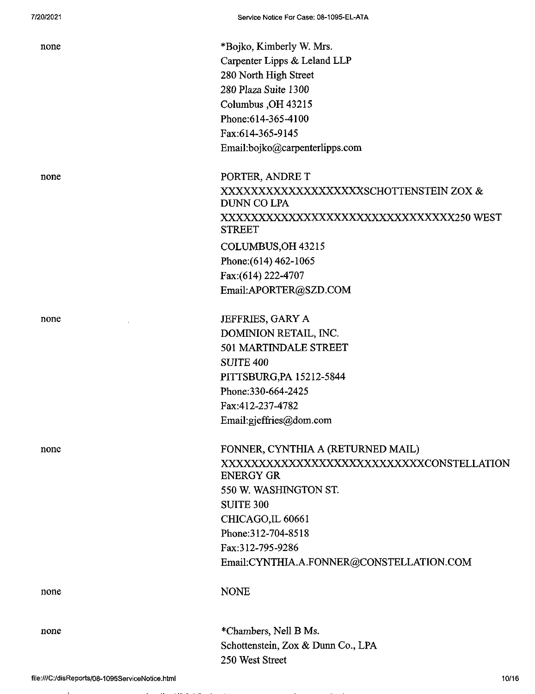| none | *Bojko, Kimberly W. Mrs.<br>Carpenter Lipps & Leland LLP<br>280 North High Street<br>280 Plaza Suite 1300<br>Columbus , OH 43215<br>Phone: 614-365-4100<br>Fax:614-365-9145<br>Email:bojko@carpenterlipps.com                                               |
|------|-------------------------------------------------------------------------------------------------------------------------------------------------------------------------------------------------------------------------------------------------------------|
| none | PORTER, ANDRE T<br>XXXXXXXXXXXXXXXXXXXSCHOTTENSTEIN ZOX &<br><b>DUNN CO LPA</b><br>XXXXXXXXXXXXXXXXXXXXXXXXXXXXXXXX250 WEST<br><b>STREET</b><br>COLUMBUS, OH 43215<br>Phone: (614) 462-1065<br>Fax:(614) 222-4707<br>Email:APORTER@SZD.COM                  |
| none | JEFFRIES, GARY A<br>DOMINION RETAIL, INC.<br>501 MARTINDALE STREET<br><b>SUITE 400</b><br>PITTSBURG, PA 15212-5844<br>Phone: 330-664-2425<br>Fax:412-237-4782<br>Email:gjeffries@dom.com                                                                    |
| none | FONNER, CYNTHIA A (RETURNED MAIL)<br>XXXXXXXXXXXXXXXXXXXXXXXXXXXXXCONSTELLATION<br><b>ENERGY GR</b><br>550 W. WASHINGTON ST.<br><b>SUITE 300</b><br>CHICAGO, IL 60661<br>Phone:312-704-8518<br>Fax:312-795-9286<br>Email:CYNTHIA.A.FONNER@CONSTELLATION.COM |
| none | <b>NONE</b>                                                                                                                                                                                                                                                 |
| none | *Chambers, Nell B Ms.<br>Schottenstein, Zox & Dunn Co., LPA<br>250 West Street                                                                                                                                                                              |

 $\overline{a}$  $\sim$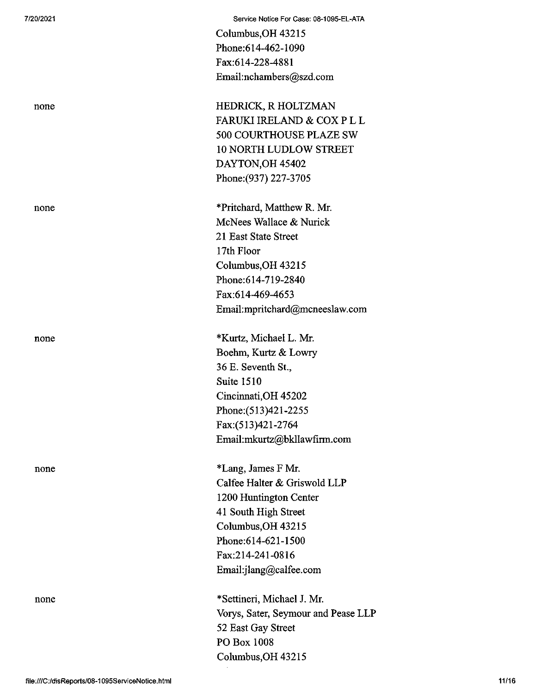| 7/20/2021 | Service Notice For Case: 08-1095-EL-ATA                  |
|-----------|----------------------------------------------------------|
|           | Columbus, OH 43215                                       |
|           | Phone:614-462-1090                                       |
|           | Fax:614-228-4881                                         |
|           | Email:nchambers@szd.com                                  |
| none      | HEDRICK, R HOLTZMAN                                      |
|           | FARUKI IRELAND & COX P L L                               |
|           | 500 COURTHOUSE PLAZE SW                                  |
|           | <b>10 NORTH LUDLOW STREET</b>                            |
|           | DAYTON, OH 45402                                         |
|           | Phone: (937) 227-3705                                    |
| none      | *Pritchard, Matthew R. Mr.                               |
|           | McNees Wallace & Nurick                                  |
|           | 21 East State Street                                     |
|           | 17th Floor                                               |
|           | Columbus, OH 43215                                       |
|           | Phone: 614-719-2840                                      |
|           | Fax:614-469-4653                                         |
|           | Email:mpritchard@mcneeslaw.com                           |
| none      | *Kurtz, Michael L. Mr.                                   |
|           | Boehm, Kurtz & Lowry                                     |
|           | 36 E. Seventh St.,                                       |
|           | Suite 1510                                               |
|           | Cincinnati, OH 45202                                     |
|           | Phone: (513)421-2255                                     |
|           | Fax:(513)421-2764                                        |
|           | Email:mkurtz@bkllawfirm.com                              |
| none      | *Lang, James F Mr.                                       |
|           | Calfee Halter & Griswold LLP                             |
|           | 1200 Huntington Center                                   |
|           | 41 South High Street                                     |
|           | Columbus, OH 43215                                       |
|           | Phone: 614-621-1500                                      |
|           | Fax:214-241-0816                                         |
|           | Email:jlang@calfee.com                                   |
| none      | *Settineri, Michael J. Mr.                               |
|           | Vorys, Sater, Seymour and Pease LLP                      |
|           | 52 East Gay Street                                       |
|           | PO Box 1008                                              |
|           | Columbus, OH 43215                                       |
|           | 11/16<br>file:///C:/disReports/08-1095ServiceNotice.html |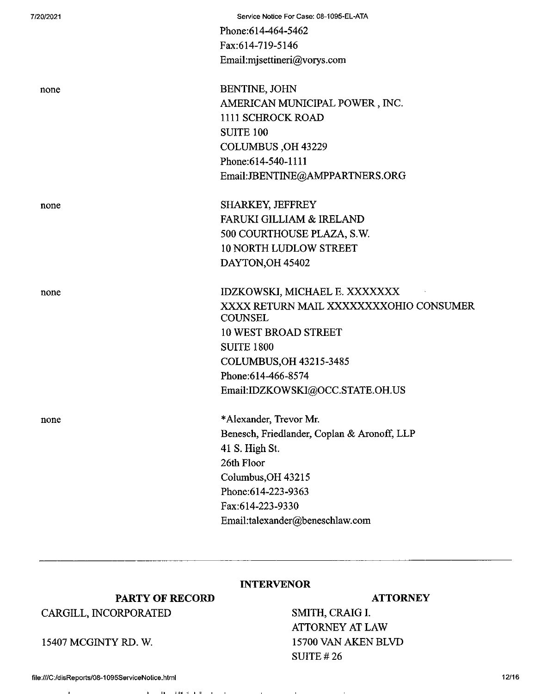| 7/20/2021 | Service Notice For Case: 08-1095-EL-ATA                  |
|-----------|----------------------------------------------------------|
|           | Phone: 614-464-5462                                      |
|           | Fax:614-719-5146                                         |
|           | Email:mjsettineri@vorys.com                              |
| none      | BENTINE, JOHN                                            |
|           | AMERICAN MUNICIPAL POWER, INC.                           |
|           | 1111 SCHROCK ROAD                                        |
|           | <b>SUITE 100</b>                                         |
|           | COLUMBUS, OH 43229                                       |
|           | Phone: 614-540-1111                                      |
|           | Email:JBENTINE@AMPPARTNERS.ORG                           |
| none      | SHARKEY, JEFFREY                                         |
|           | <b>FARUKI GILLIAM &amp; IRELAND</b>                      |
|           | 500 COURTHOUSE PLAZA, S.W.                               |
|           | <b>10 NORTH LUDLOW STREET</b>                            |
|           | DAYTON, OH 45402                                         |
| none      | IDZKOWSKI, MICHAEL E. XXXXXXX                            |
|           | XXXX RETURN MAIL XXXXXXXXOHIO CONSUMER<br><b>COUNSEL</b> |
|           | <b>10 WEST BROAD STREET</b>                              |
|           | <b>SUITE 1800</b>                                        |
|           | COLUMBUS, OH 43215-3485                                  |
|           | Phone:614-466-8574                                       |
|           | Email:IDZKOWSKI@OCC.STATE.OH.US                          |
| none      | *Alexander, Trevor Mr.                                   |
|           | Benesch, Friedlander, Coplan & Aronoff, LLP              |
|           | 41 S. High St.                                           |
|           | 26th Floor                                               |
|           | Columbus, OH 43215                                       |
|           | Phone: 614-223-9363                                      |
|           | Fax:614-223-9330                                         |
|           | Email:talexander@beneschlaw.com                          |
|           |                                                          |

## **INTERVENOR**

 $\sim 10^{-1}$ 

**College** 

#### **ATTORNEY**

SMITH, CRAIG I. ATTORNEY AT LAW 15700 VAN AKEN BLVD SUITE #26

 $\mathbf{r}$ 

# **PARTY OF RECORD** CARGILL, INCORPORATED

15407 MCGINTY RD. W.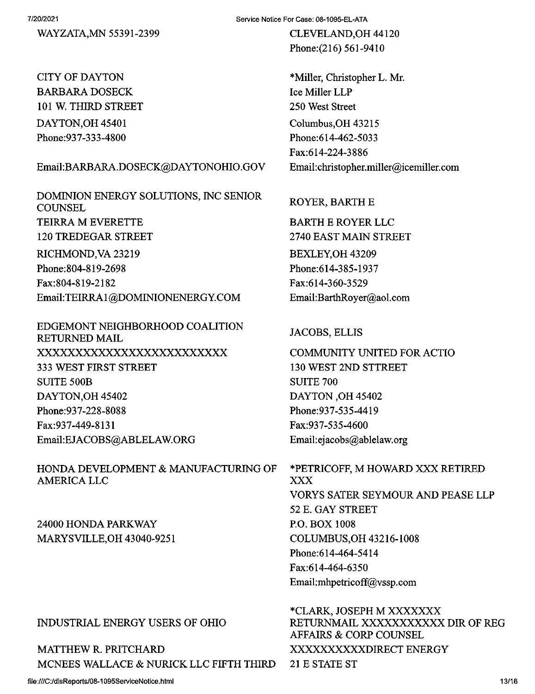WAYZATA,MN 55391-2399

CITY OF DAYTON BARBARA DOSECK 101 W. THIRD STREET DAYTON,OH 45401 Phone:937-333-4800

### Email:BARBARA.DOSECK@DAYTONOHIO.GOV

DOMINION ENERGY SOLUTIONS, INC SENIOR **COUNSEL** TEIRRA M EVERETTE 120 TREDEGAR STREET RICHMOND,VA 23219 Phone:804-819-2698 Fax:804-819-2182 Email:TEIRRAl@DOMINIONENERGYCOM

EDGEMONT NEIGHBORHOOD COALITION RETURNED MAIL xxxxxxxxxxxxxxxxxxxxxxxxx <sup>333</sup> WEST FIRST STREET SUITE 500B DAYTON,OH 45402 Phone:937-228-8088 Fax:937-449-8131 Email:EJACOBS@ABLELAW.ORG

HONDA DEVELOPMENT & MANUFACTURING OF **AMERICA LLC** 

24000 HONDA PARKWAY MARYSVILLE,OH 43040-9251

## INDUSTRIAL ENERGY USERS OF OHIO

MATTHEW R. PRITCHARD XXXXXXXXXXXXDIRECT ENERGY MCNEES WALLACE & NURICK LLC FIFTH THIRD 21 E STATE ST

Service Notice For Case: 08-1095-EL-ATA

CLEVELAND,OH 44120 Phone:(216) 561-9410

\*Miller, Christopher L. Mr. Ice Miller LLP 250 West Street Columbus,OH 43215 Phone:614-462-5033 Fax:614-224-3886 EmaiI:christopher.miller@icemiller.com

#### ROYER, BARTH E

BARTH E ROYER LLC 2740 EAST MAIN STREET BEXLEY,OH 43209 Phone:614-385-1937 Fax:614-360-3529 Email:BarthRoyer@aoLcom

### JACOBS, ELLIS

COMMUNITY UNITED FOR ACTIO 130 WEST 2ND STTREET SUITE 700 DAYTON ,OH 45402 Phone:937-535-4419 Fax:937-535-4600 Email:ejacobs@ablelaw.org

\*PETRICOFF, M HOWARD XXX RETIRED XXX VORYS SATER SEYMOUR AND PEASE LLP 52 E. GAY STREET P.O. BOX 1008 COLUMBUS,OH 43216-1008 Phone:614-464-5414 Fax:614-464-6350 Email:mhpetricoff@vssp.com

\*CLARK, JOSEPH M XXXXXXX RETURNMAIL XXXXXXXXXXX DIR OF REG AFFAIRS & CORP COUNSEL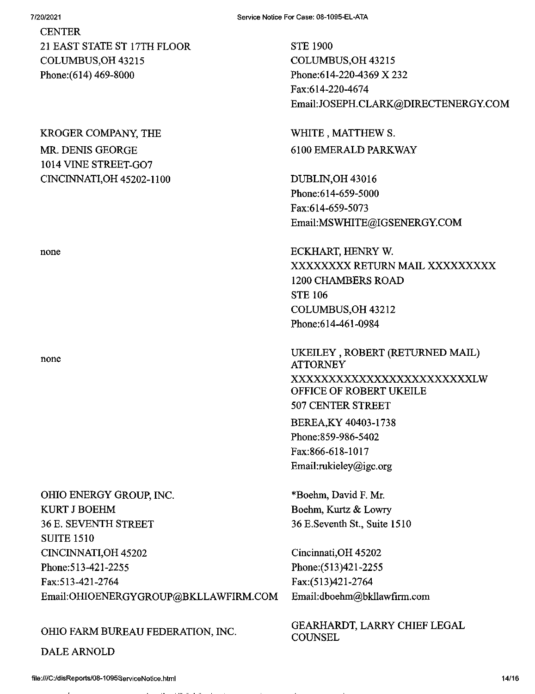#### 7/20/2021

**CENTER** 21 EAST STATE ST 17TH FLOOR COLUMBUS,OH 43215 Phone:(614) 469-8000

### KROGER COMPANY, THE

MR. DENIS GEORGE 1014 VINE STREET-G07 CINCINNATI,OH 45202-1100

none

# OHIO ENERGY GROUP, INC. KURT J BOEHM 36 E. SEVENTH STREET SUITE 1510 CINCINNATI,OH 45202 Phone:513-421-2255 Fax:513-421-2764 Email:OHIOENERGYGROUP@BKLLAWFIRM.COM Email:dboehm@bkllawfirm.com

# OHIO FARM BUREAU FEDERATION, INC.

DALE ARNOLD

STE 1900 COLUMBUS,OH 43215 Phone:614-220-4369 X 232 Fax:614-220-4674 Email:JOSEPH.CLARK@DIRECTENERGY.COM

WHITE, MATTHEW S. 6100 EMERALD PARKWAY

DUBLIN,OH 43016 Phone:614-659-5000 Fax:614-659-5073 Email:MSWHITE@IGSENERGY.COM

none ECKHART, HENRY W. XXXXXXXX RETURN MAIL XXXXXXXXX 1200 CHAMBERS ROAD STE 106 COLUMBUS,OH 43212 Phone:614-461-0984

> UKEILEY , ROBERT (RETURNED MAIL) ATTORNEY XXXXXXXXXXXXXXXXXXXXXXXXLW OFFICE OF ROBERT UKEILE 507 CENTER STREET BEREA,KY 40403-1738 Phone:859-986-5402 Fax:866-618-1017

\*Boehm, David F. Mr. Boehm, Kurtz & Lowry 36 E.Seventh St., Suite 1510

Email:rukieley@igc.org

Cincinnati,OH 45202 Phone:(513)421-2255 Fax:(513)421-2764

GEARHARDT, LARRY CHIEF LEGAL **COUNSEL**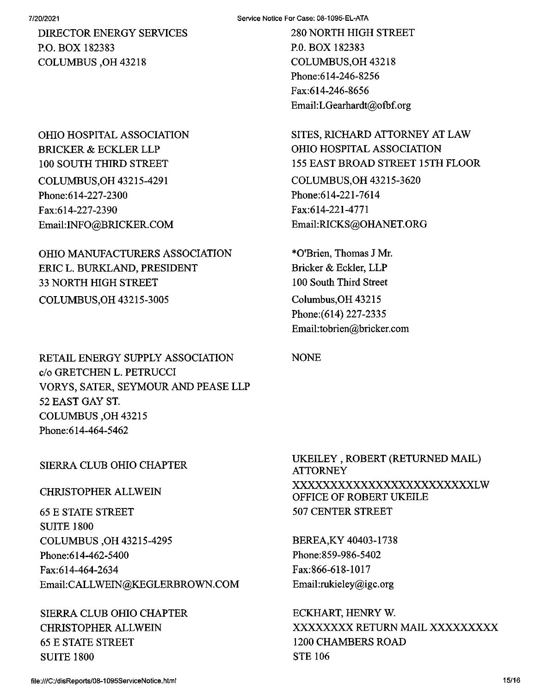DIRECTOR ENERGY SERVICES P.O. BOX 182383 COLUMBUS ,OH 43218

OHIO HOSPITAL ASSOCIATION BRICKER & ECKLER LLP 100 SOUTH THIRD STREET COLUMBUS,OH 43215-4291 Phone:614-227-2300 Fax:614-227-2390 Email:INFO@BRICKER.COM

OHIO MANUFACTURERS ASSOCIATION ERIC L. BURKLAND, PRESIDENT 33 NORTH HIGH STREET COLUMBUS,OH 43215-3005

280 NORTH HIGH STREET P.O. BOX 182383 COLUMBUS,OH 43218 Phone:614-246-8256 Fax:614-246-8656 Email:LGearhardt@ofbf.org

SITES, RICHARD ATTORNEY AT LAW OHIO HOSPITAL ASSOCIATION 155 EAST BROAD STREET 15TH FLOOR COLUMBUS,OH 43215-3620 Phone:614-221-7614 Fax:614-221-4771 Email:RICKS@OHANET.ORG

\*0'Brien, Thomas J Mr. Bricker & Eckler, LLP 100 South Third Street Columbus, OH 43215 Phone:(614) 227-2335 Email:tobrien@bricker.com

NONE

RETAIL ENERGY SUPPLY ASSOCIATION c/o GRETCHEN L. PETRUCCI VORYS, SATER, SEYMOUR AND PEASE LLP 52 EAST GAY ST. COLUMBUS ,OH 43215 Phone:614-464-5462

## SIERRA CLUB OHIO CHAPTER

## CHRISTOPHER ALLWEIN

65 E STATE STREET SUITE 1800 COLUMBUS ,OH 43215-4295 Phone:614-462-5400 Fax:614-464-2634 Email:CALLWEIN@KEGLERBROWN.COM

SIERRA CLUB OHIO CHAPTER CHRISTOPHER ALLWEIN 65 E STATE STREET SUITE 1800

UKEILEY , ROBERT (RETURNED MAIL) **ATTORNEY** XXXXXXXXXXXXXXXXXXXXXXXXLW OFFICE OF ROBERT UKEILE 507 CENTER STREET

BEREA,KY 40403-1738 Phone:859-986-5402 Fax:866-618-1017 Email:rukieley@igc.org

ECKHART, HENRY W. XXXXXXXX RETURN MAIL XXXXXXXXX 1200 CHAMBERS ROAD STE 106